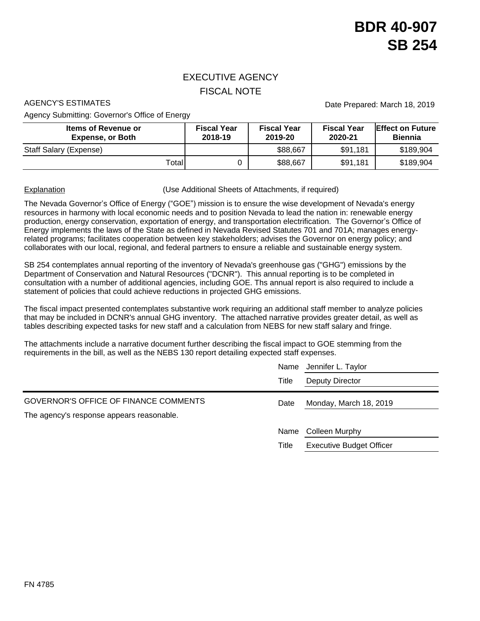## EXECUTIVE AGENCY FISCAL NOTE

Agency Submitting: Governor's Office of Energy

AGENCY'S ESTIMATES **Date Prepared: March 18, 2019** 

| <b>Items of Revenue or</b><br><b>Expense, or Both</b> | <b>Fiscal Year</b><br>2018-19 | <b>Fiscal Year</b><br>2019-20 | <b>Fiscal Year</b><br>2020-21 | <b>IEffect on Future</b><br><b>Biennia</b> |  |  |
|-------------------------------------------------------|-------------------------------|-------------------------------|-------------------------------|--------------------------------------------|--|--|
| Staff Salary (Expense)                                |                               | \$88,667                      | \$91,181                      | \$189,904                                  |  |  |
| Totall                                                |                               | \$88,667                      | \$91,181                      | \$189,904                                  |  |  |

Explanation **Explanation** (Use Additional Sheets of Attachments, if required)

The Nevada Governor's Office of Energy ("GOE") mission is to ensure the wise development of Nevada's energy resources in harmony with local economic needs and to position Nevada to lead the nation in: renewable energy production, energy conservation, exportation of energy, and transportation electrification. The Governor's Office of Energy implements the laws of the State as defined in Nevada Revised Statutes 701 and 701A; manages energyrelated programs; facilitates cooperation between key stakeholders; advises the Governor on energy policy; and collaborates with our local, regional, and federal partners to ensure a reliable and sustainable energy system.

SB 254 contemplates annual reporting of the inventory of Nevada's greenhouse gas ("GHG") emissions by the Department of Conservation and Natural Resources ("DCNR"). This annual reporting is to be completed in consultation with a number of additional agencies, including GOE. Ths annual report is also required to include a statement of policies that could achieve reductions in projected GHG emissions.

The fiscal impact presented contemplates substantive work requiring an additional staff member to analyze policies that may be included in DCNR's annual GHG inventory. The attached narrative provides greater detail, as well as tables describing expected tasks for new staff and a calculation from NEBS for new staff salary and fringe.

The attachments include a narrative document further describing the fiscal impact to GOE stemming from the requirements in the bill, as well as the NEBS 130 report detailing expected staff expenses.

|                                                                                           | Name  | Jennifer L. Taylor              |  |  |
|-------------------------------------------------------------------------------------------|-------|---------------------------------|--|--|
|                                                                                           | Title | Deputy Director                 |  |  |
| <b>GOVERNOR'S OFFICE OF FINANCE COMMENTS</b><br>The agency's response appears reasonable. | Date  | Monday, March 18, 2019          |  |  |
|                                                                                           | Name  | Colleen Murphy                  |  |  |
|                                                                                           | Title | <b>Executive Budget Officer</b> |  |  |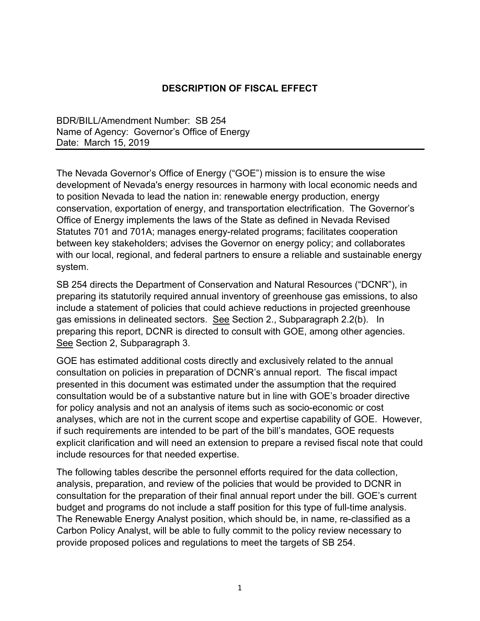## **DESCRIPTION OF FISCAL EFFECT**

BDR/BILL/Amendment Number: SB 254 Name of Agency: Governor's Office of Energy Date: March 15, 2019

The Nevada Governor's Office of Energy ("GOE") mission is to ensure the wise development of Nevada's energy resources in harmony with local economic needs and to position Nevada to lead the nation in: renewable energy production, energy conservation, exportation of energy, and transportation electrification. The Governor's Office of Energy implements the laws of the State as defined in Nevada Revised Statutes 701 and 701A; manages energy-related programs; facilitates cooperation between key stakeholders; advises the Governor on energy policy; and collaborates with our local, regional, and federal partners to ensure a reliable and sustainable energy system.

SB 254 directs the Department of Conservation and Natural Resources ("DCNR"), in preparing its statutorily required annual inventory of greenhouse gas emissions, to also include a statement of policies that could achieve reductions in projected greenhouse gas emissions in delineated sectors. See Section 2., Subparagraph 2.2(b). In preparing this report, DCNR is directed to consult with GOE, among other agencies. See Section 2, Subparagraph 3.

GOE has estimated additional costs directly and exclusively related to the annual consultation on policies in preparation of DCNR's annual report. The fiscal impact presented in this document was estimated under the assumption that the required consultation would be of a substantive nature but in line with GOE's broader directive for policy analysis and not an analysis of items such as socio-economic or cost analyses, which are not in the current scope and expertise capability of GOE. However, if such requirements are intended to be part of the bill's mandates, GOE requests explicit clarification and will need an extension to prepare a revised fiscal note that could include resources for that needed expertise.

The following tables describe the personnel efforts required for the data collection, analysis, preparation, and review of the policies that would be provided to DCNR in consultation for the preparation of their final annual report under the bill. GOE's current budget and programs do not include a staff position for this type of full-time analysis. The Renewable Energy Analyst position, which should be, in name, re-classified as a Carbon Policy Analyst, will be able to fully commit to the policy review necessary to provide proposed polices and regulations to meet the targets of SB 254.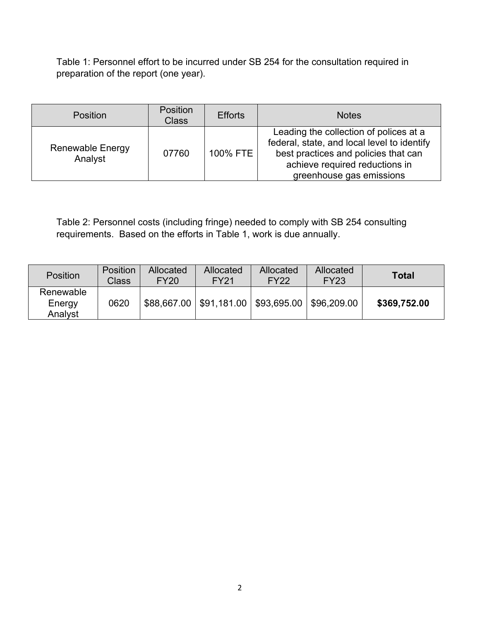Table 1: Personnel effort to be incurred under SB 254 for the consultation required in preparation of the report (one year).

| <b>Position</b>                    | <b>Position</b><br><b>Class</b> | <b>Efforts</b> | <b>Notes</b>                                                                                                                                                                                |
|------------------------------------|---------------------------------|----------------|---------------------------------------------------------------------------------------------------------------------------------------------------------------------------------------------|
| <b>Renewable Energy</b><br>Analyst | 07760                           | 100% FTE       | Leading the collection of polices at a<br>federal, state, and local level to identify<br>best practices and policies that can<br>achieve required reductions in<br>greenhouse gas emissions |

Table 2: Personnel costs (including fringe) needed to comply with SB 254 consulting requirements. Based on the efforts in Table 1, work is due annually.

| Position                       | <b>Position</b><br>Class | Allocated<br><b>FY20</b> | Allocated<br><b>FY21</b> | Allocated<br><b>FY22</b> | Allocated<br><b>FY23</b> | <b>Total</b> |
|--------------------------------|--------------------------|--------------------------|--------------------------|--------------------------|--------------------------|--------------|
| Renewable<br>Energy<br>Analyst | 0620                     | \$88,667.00              | \$91,181.00              | \$93,695.00              | \$96,209.00              | \$369,752.00 |